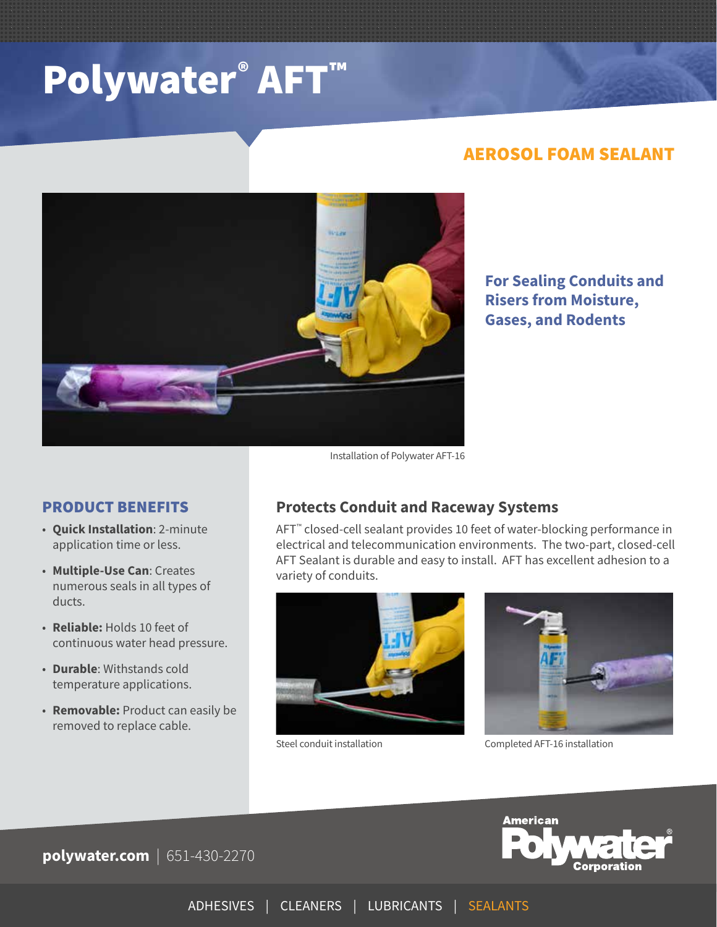# Polywater® AFT™

## AEROSOL FOAM SEALANT



**For Sealing Conduits and Risers from Moisture, Gases, and Rodents**

### PRODUCT BENEFITS

- **Quick Installation**: 2-minute application time or less.
- **Multiple-Use Can**: Creates numerous seals in all types of ducts.
- **Reliable:** Holds 10 feet of continuous water head pressure.
- **Durable**: Withstands cold temperature applications.
- **Removable:** Product can easily be removed to replace cable.

**Protects Conduit and Raceway Systems** 

AFT™ closed-cell sealant provides 10 feet of water-blocking performance in electrical and telecommunication environments. The two-part, closed-cell AFT Sealant is durable and easy to install. AFT has excellent adhesion to a variety of conduits.



Steel conduit installation



Completed AFT-16 installation



**polywater.com** | 651-430-2270